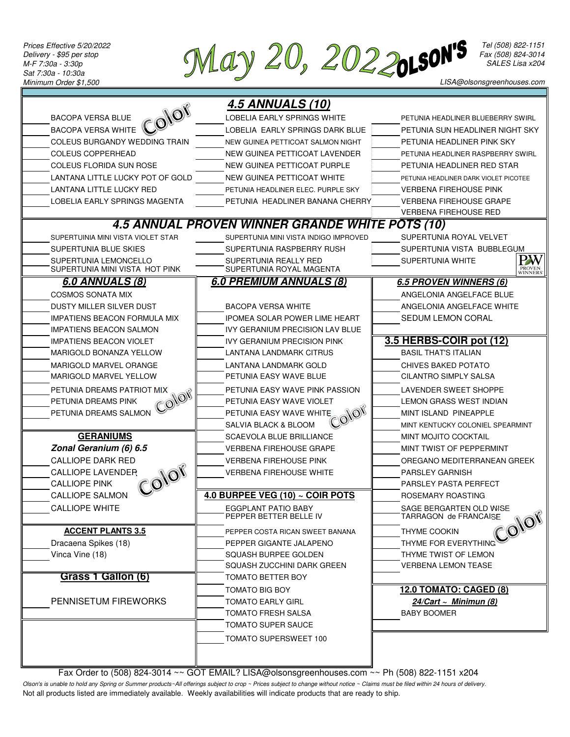*Prices Effective 5/20/2022 Delivery - \$95 per stop M-F 7:30a - 3:30p Sat 7:30a - 10:30a Minimum Order \$1,500*

**May 20, 20220150N'S** Fax (508) 822-1151

*Tel (508) 822-1151 Fax (508) 824-3014 SALES Lisa x204*

|                                                         | <b>4.5 ANNUALS (10)</b>                           |                                                           |
|---------------------------------------------------------|---------------------------------------------------|-----------------------------------------------------------|
| olor<br><b>BACOPA VERSA BLUE</b>                        | LOBELIA EARLY SPRINGS WHITE                       | PETUNIA HEADLINER BLUEBERRY SWIRL                         |
| <b>BACOPA VERSA WHITE</b>                               | LOBELIA EARLY SPRINGS DARK BLUE                   | PETUNIA SUN HEADLINER NIGHT SKY                           |
| COLEUS BURGANDY WEDDING TRAIN                           | NEW GUINEA PETTICOAT SALMON NIGHT                 | PETUNIA HEADLINER PINK SKY                                |
| <b>COLEUS COPPERHEAD</b>                                | NEW GUINEA PETTICOAT LAVENDER                     | PETUNIA HEADLINER RASPBERRY SWIRL                         |
| <b>COLEUS FLORIDA SUN ROSE</b>                          | NEW GUINEA PETTICOAT PURPLE                       | PETUNIA HEADLINER RED STAR                                |
| LANTANA LITTLE LUCKY POT OF GOLD                        | NEW GUINEA PETTICOAT WHITE                        | PETUNIA HEADLINER DARK VIOLET PICOTEE                     |
| LANTANA LITTLE LUCKY RED                                | PETUNIA HEADLINER ELEC. PURPLE SKY                | <b>VERBENA FIREHOUSE PINK</b>                             |
| LOBELIA EARLY SPRINGS MAGENTA                           | PETUNIA HEADLINER BANANA CHERRY                   | <b>VERBENA FIREHOUSE GRAPE</b>                            |
|                                                         |                                                   | <b>VERBENA FIREHOUSE RED</b>                              |
|                                                         | 4.5 ANNUAL PROVEN WINNER GRANDE WHITE POTS (10)   |                                                           |
| SUPERTUINIA MINI VISTA VIOLET STAR                      | SUPERTUNIA MINI VISTA INDIGO IMPROVED             | SUPERTUNIA ROYAL VELVET                                   |
| SUPERTUNIA BLUE SKIES                                   | SUPERTUNIA RASPBERRY RUSH                         | SUPERTUNIA VISTA BUBBLEGUM                                |
| SUPERTUNIA LEMONCELLO<br>SUPERTUNIA MINI VISTA HOT PINK | SUPERTUNIA REALLY RED<br>SUPERTUNIA ROYAL MAGENTA | PW<br>SUPERTUNIA WHITE<br><b>PROVEN</b><br>WINNERS        |
| <b>6.0 ANNUALS (8)</b>                                  | <b>6.0 PREMIUM ANNUALS (8)</b>                    | <b>6.5 PROVEN WINNERS (6)</b>                             |
| <b>COSMOS SONATA MIX</b>                                |                                                   | ANGELONIA ANGELFACE BLUE                                  |
| DUSTY MILLER SILVER DUST                                | <b>BACOPA VERSA WHITE</b>                         | ANGELONIA ANGELFACE WHITE                                 |
| <b>IMPATIENS BEACON FORMULA MIX</b>                     | <b>IPOMEA SOLAR POWER LIME HEART</b>              | <b>SEDUM LEMON CORAL</b>                                  |
| <b>IMPATIENS BEACON SALMON</b>                          | IVY GERANIUM PRECISION LAV BLUE                   |                                                           |
| <b>IMPATIENS BEACON VIOLET</b>                          | <b>IVY GERANIUM PRECISION PINK</b>                | 3.5 HERBS-COIR pot (12)                                   |
| <b>MARIGOLD BONANZA YELLOW</b>                          | LANTANA LANDMARK CITRUS                           | <b>BASIL THAT'S ITALIAN</b>                               |
| MARIGOLD MARVEL ORANGE                                  | LANTANA LANDMARK GOLD                             | CHIVES BAKED POTATO                                       |
| <b>MARIGOLD MARVEL YELLOW</b>                           | PETUNIA EASY WAVE BLUE                            | <b>CILANTRO SIMPLY SALSA</b>                              |
| PETUNIA DREAMS PATRIOT MIX                              | PETUNIA EASY WAVE PINK PASSION                    | LAVENDER SWEET SHOPPE                                     |
| <b>NOVG</b><br>PETUNIA DREAMS PINK                      | PETUNIA EASY WAVE VIOLET                          | LEMON GRASS WEST INDIAN                                   |
| PETUNIA DREAMS SALMON                                   | <b>MOVO</b><br>PETUNIA EASY WAVE WHITE            | MINT ISLAND PINEAPPLE                                     |
|                                                         | <b>SALVIA BLACK &amp; BLOOM</b>                   | MINT KENTUCKY COLONIEL SPEARMINT                          |
| <b>GERANIUMS</b>                                        | <b>SCAEVOLA BLUE BRILLIANCE</b>                   | <b>MINT MOJITO COCKTAIL</b>                               |
| Zonal Geranium (6) 6.5                                  | <b>VERBENA FIREHOUSE GRAPE</b>                    | MINT TWIST OF PEPPERMINT                                  |
| <b>CALLIOPE DARK RED</b>                                | <b>VERBENA FIREHOUSE PINK</b>                     | OREGANO MEDITERRANEAN GREEK                               |
| <b>CALLIOPE LAVENDER</b>                                | <b>VERBENA FIREHOUSE WHITE</b>                    | <b>PARSLEY GARNISH</b>                                    |
| Color<br><b>CALLIOPE PINK</b>                           |                                                   | PARSLEY PASTA PERFECT                                     |
| <b>CALLIOPE SALMON</b>                                  | 4.0 BURPEE VEG (10) $\sim$ COIR POTS              | ROSEMARY ROASTING                                         |
| <b>CALLIOPE WHITE</b>                                   | EGGPLANT PATIO BABY<br>PEPPER BETTER BELLE IV     | SAGE BERGARTEN OLD WISE<br>Color<br>TARRAGON de FRANCAISE |
| <b>ACCENT PLANTS 3.5</b>                                | PEPPER COSTA RICAN SWEET BANANA                   | THYME COOKIN                                              |
| Dracaena Spikes (18)                                    | PEPPER GIGANTE JALAPENO                           | THYME FOR EVERYTHING                                      |
| Vinca Vine (18)                                         | SQUASH BURPEE GOLDEN                              | THYME TWIST OF LEMON                                      |
|                                                         | SQUASH ZUCCHINI DARK GREEN                        | <b>VERBENA LEMON TEASE</b>                                |
| Grass 1 Gallon (6)                                      | <b>TOMATO BETTER BOY</b>                          |                                                           |
|                                                         | <b>TOMATO BIG BOY</b>                             | 12.0 TOMATO: CAGED (8)                                    |
| PENNISETUM FIREWORKS                                    | <b>TOMATO EARLY GIRL</b>                          | $24/Cart \sim Minimum (8)$                                |
|                                                         | <b>TOMATO FRESH SALSA</b>                         | <b>BABY BOOMER</b>                                        |
|                                                         | <b>TOMATO SUPER SAUCE</b>                         |                                                           |
|                                                         | TOMATO SUPERSWEET 100                             |                                                           |
|                                                         |                                                   |                                                           |
|                                                         |                                                   |                                                           |

 Fax Order to (508) 824-3014 ~~ GOT EMAIL? LISA@olsonsgreenhouses.com ~~ Ph (508) 822-1151 x204 *Olson's is unable to hold any Spring or Summer products~All offerings subject to crop ~ Prices subject to change without notice ~ Claims must be filed within 24 hours of delivery.*

Not all products listed are immediately available. Weekly availabilities will indicate products that are ready to ship.